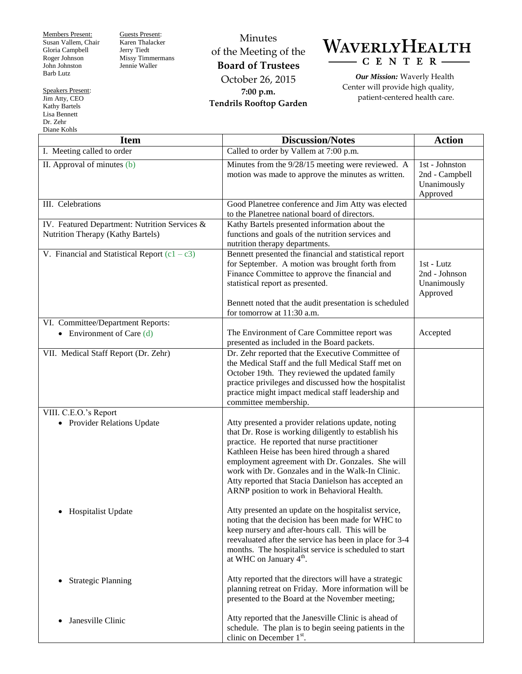Members Present: Susan Vallem, Chair Gloria Campbell Roger Johnson John Johnston Barb Lutz

Guests Present: Karen Thalacker Jerry Tiedt Missy Timmermans Jennie Waller

Minutes of the Meeting of the **Board of Trustees** October 26, 2015 **7:00 p.m. Tendrils Rooftop Garden**



*Our Mission:* Waverly Health Center will provide high quality, patient-centered health care.

| <b>Item</b>                                                                        | <b>Discussion/Notes</b>                                                                                                                                                                                                                                                                                                                                                                                                      | <b>Action</b>                                               |
|------------------------------------------------------------------------------------|------------------------------------------------------------------------------------------------------------------------------------------------------------------------------------------------------------------------------------------------------------------------------------------------------------------------------------------------------------------------------------------------------------------------------|-------------------------------------------------------------|
| I. Meeting called to order                                                         | Called to order by Vallem at 7:00 p.m.                                                                                                                                                                                                                                                                                                                                                                                       |                                                             |
| II. Approval of minutes (b)                                                        | Minutes from the 9/28/15 meeting were reviewed. A<br>motion was made to approve the minutes as written.                                                                                                                                                                                                                                                                                                                      | 1st - Johnston<br>2nd - Campbell<br>Unanimously<br>Approved |
| III. Celebrations                                                                  | Good Planetree conference and Jim Atty was elected<br>to the Planetree national board of directors.                                                                                                                                                                                                                                                                                                                          |                                                             |
| IV. Featured Department: Nutrition Services &<br>Nutrition Therapy (Kathy Bartels) | Kathy Bartels presented information about the<br>functions and goals of the nutrition services and<br>nutrition therapy departments.                                                                                                                                                                                                                                                                                         |                                                             |
| V. Financial and Statistical Report $(c1 - c3)$                                    | Bennett presented the financial and statistical report<br>for September. A motion was brought forth from<br>Finance Committee to approve the financial and<br>statistical report as presented.<br>Bennett noted that the audit presentation is scheduled                                                                                                                                                                     | 1st - Lutz<br>2nd - Johnson<br>Unanimously<br>Approved      |
|                                                                                    | for tomorrow at 11:30 a.m.                                                                                                                                                                                                                                                                                                                                                                                                   |                                                             |
| VI. Committee/Department Reports:<br>• Environment of Care $(d)$                   | The Environment of Care Committee report was<br>presented as included in the Board packets.                                                                                                                                                                                                                                                                                                                                  | Accepted                                                    |
| VII. Medical Staff Report (Dr. Zehr)                                               | Dr. Zehr reported that the Executive Committee of<br>the Medical Staff and the full Medical Staff met on<br>October 19th. They reviewed the updated family<br>practice privileges and discussed how the hospitalist<br>practice might impact medical staff leadership and<br>committee membership.                                                                                                                           |                                                             |
| VIII. C.E.O.'s Report                                                              |                                                                                                                                                                                                                                                                                                                                                                                                                              |                                                             |
| • Provider Relations Update                                                        | Atty presented a provider relations update, noting<br>that Dr. Rose is working diligently to establish his<br>practice. He reported that nurse practitioner<br>Kathleen Heise has been hired through a shared<br>employment agreement with Dr. Gonzales. She will<br>work with Dr. Gonzales and in the Walk-In Clinic.<br>Atty reported that Stacia Danielson has accepted an<br>ARNP position to work in Behavioral Health. |                                                             |
| • Hospitalist Update                                                               | Atty presented an update on the hospitalist service,<br>noting that the decision has been made for WHC to<br>keep nursery and after-hours call. This will be<br>reevaluated after the service has been in place for 3-4<br>months. The hospitalist service is scheduled to start<br>at WHC on January $4th$ .                                                                                                                |                                                             |
| <b>Strategic Planning</b><br>$\bullet$                                             | Atty reported that the directors will have a strategic<br>planning retreat on Friday. More information will be<br>presented to the Board at the November meeting;                                                                                                                                                                                                                                                            |                                                             |
| Janesville Clinic<br>$\bullet$                                                     | Atty reported that the Janesville Clinic is ahead of<br>schedule. The plan is to begin seeing patients in the<br>clinic on December $1st$ .                                                                                                                                                                                                                                                                                  |                                                             |

Speakers Present: Jim Atty, CEO Kathy Bartels Lisa Bennett Dr. Zehr Diane Kohls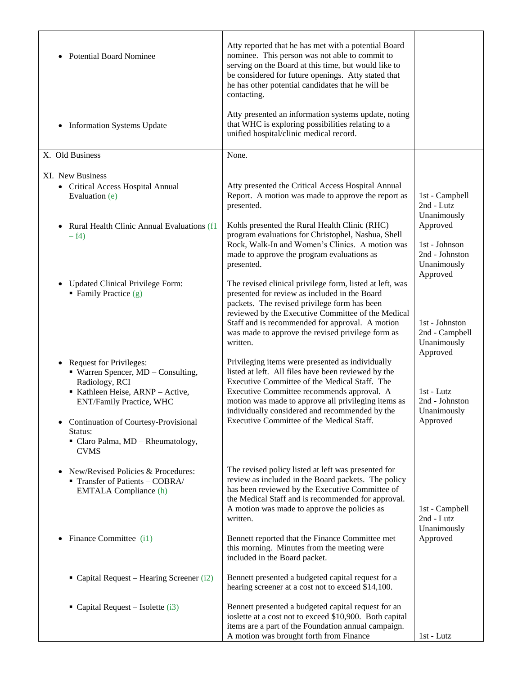| <b>Potential Board Nominee</b><br>$\bullet$                                                                                                                                                                                                                                                         | Atty reported that he has met with a potential Board<br>nominee. This person was not able to commit to<br>serving on the Board at this time, but would like to<br>be considered for future openings. Atty stated that<br>he has other potential candidates that he will be<br>contacting.                                                                    |                                                                        |
|-----------------------------------------------------------------------------------------------------------------------------------------------------------------------------------------------------------------------------------------------------------------------------------------------------|--------------------------------------------------------------------------------------------------------------------------------------------------------------------------------------------------------------------------------------------------------------------------------------------------------------------------------------------------------------|------------------------------------------------------------------------|
| <b>Information Systems Update</b><br>$\bullet$                                                                                                                                                                                                                                                      | Atty presented an information systems update, noting<br>that WHC is exploring possibilities relating to a<br>unified hospital/clinic medical record.                                                                                                                                                                                                         |                                                                        |
| X. Old Business                                                                                                                                                                                                                                                                                     | None.                                                                                                                                                                                                                                                                                                                                                        |                                                                        |
| XI. New Business<br>• Critical Access Hospital Annual<br>Evaluation (e)                                                                                                                                                                                                                             | Atty presented the Critical Access Hospital Annual<br>Report. A motion was made to approve the report as<br>presented.                                                                                                                                                                                                                                       | 1st - Campbell<br>2nd - Lutz<br>Unanimously                            |
| Rural Health Clinic Annual Evaluations (f1<br>$\bullet$<br>$-f4)$                                                                                                                                                                                                                                   | Kohls presented the Rural Health Clinic (RHC)<br>program evaluations for Christophel, Nashua, Shell<br>Rock, Walk-In and Women's Clinics. A motion was<br>made to approve the program evaluations as<br>presented.                                                                                                                                           | Approved<br>1st - Johnson<br>2nd - Johnston<br>Unanimously<br>Approved |
| <b>Updated Clinical Privilege Form:</b><br>$\bullet$<br>Family Practice $(g)$                                                                                                                                                                                                                       | The revised clinical privilege form, listed at left, was<br>presented for review as included in the Board<br>packets. The revised privilege form has been<br>reviewed by the Executive Committee of the Medical<br>Staff and is recommended for approval. A motion<br>was made to approve the revised privilege form as<br>written.                          | 1st - Johnston<br>2nd - Campbell<br>Unanimously<br>Approved            |
| <b>Request for Privileges:</b><br>$\bullet$<br>• Warren Spencer, MD - Consulting,<br>Radiology, RCI<br>Kathleen Heise, ARNP - Active,<br><b>ENT/Family Practice, WHC</b><br><b>Continuation of Courtesy-Provisional</b><br>$\bullet$<br>Status:<br>• Claro Palma, MD - Rheumatology,<br><b>CVMS</b> | Privileging items were presented as individually<br>listed at left. All files have been reviewed by the<br>Executive Committee of the Medical Staff. The<br>Executive Committee recommends approval. A<br>motion was made to approve all privileging items as<br>individually considered and recommended by the<br>Executive Committee of the Medical Staff. | $1st - Lutz$<br>2nd - Johnston<br>Unanimously<br>Approved              |
| New/Revised Policies & Procedures:<br>$\bullet$<br>Transfer of Patients - COBRA/<br><b>EMTALA Compliance (h)</b>                                                                                                                                                                                    | The revised policy listed at left was presented for<br>review as included in the Board packets. The policy<br>has been reviewed by the Executive Committee of<br>the Medical Staff and is recommended for approval.<br>A motion was made to approve the policies as<br>written.                                                                              | 1st - Campbell<br>2nd - Lutz<br>Unanimously                            |
| Finance Committee (i1)<br>$\bullet$                                                                                                                                                                                                                                                                 | Bennett reported that the Finance Committee met<br>this morning. Minutes from the meeting were<br>included in the Board packet.                                                                                                                                                                                                                              | Approved                                                               |
| Capital Request – Hearing Screener (i2)                                                                                                                                                                                                                                                             | Bennett presented a budgeted capital request for a<br>hearing screener at a cost not to exceed \$14,100.                                                                                                                                                                                                                                                     |                                                                        |
| • Capital Request – Isolette $(i3)$                                                                                                                                                                                                                                                                 | Bennett presented a budgeted capital request for an<br>ioslette at a cost not to exceed \$10,900. Both capital<br>items are a part of the Foundation annual campaign.<br>A motion was brought forth from Finance                                                                                                                                             | 1st - Lutz                                                             |